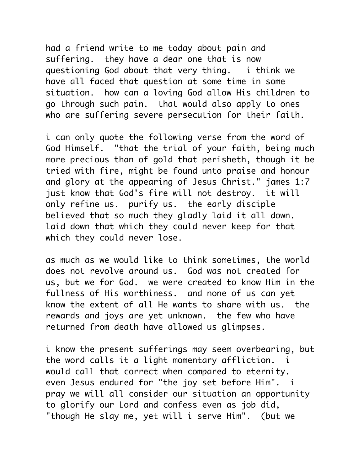had a friend write to me today about pain and suffering. they have a dear one that is now questioning God about that very thing. i think we have all faced that question at some time in some situation. how can a loving God allow His children to go through such pain. that would also apply to ones who are suffering severe persecution for their faith.

i can only quote the following verse from the word of God Himself. "that the trial of your faith, being much more precious than of gold that perisheth, though it be tried with fire, might be found unto praise and honour and glory at the appearing of Jesus Christ." james 1:7 just know that God's fire will not destroy. it will only refine us. purify us. the early disciple believed that so much they gladly laid it all down. laid down that which they could never keep for that which they could never lose.

as much as we would like to think sometimes, the world does not revolve around us. God was not created for us, but we for God. we were created to know Him in the fullness of His worthiness. and none of us can yet know the extent of all He wants to share with us. the rewards and joys are yet unknown. the few who have returned from death have allowed us glimpses.

i know the present sufferings may seem overbearing, but the word calls it a light momentary affliction. i would call that correct when compared to eternity. even Jesus endured for "the joy set before Him". i pray we will all consider our situation an opportunity to glorify our Lord and confess even as job did, "though He slay me, yet will i serve Him". (but we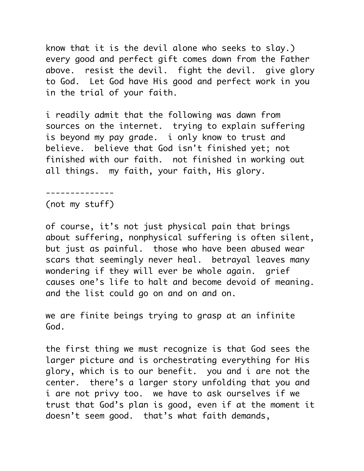know that it is the devil alone who seeks to slay.) every good and perfect gift comes down from the Father above. resist the devil. fight the devil. give glory to God. Let God have His good and perfect work in you in the trial of your faith.

i readily admit that the following was dawn from sources on the internet. trying to explain suffering is beyond my pay grade. i only know to trust and believe. believe that God isn't finished yet; not finished with our faith. not finished in working out all things. my faith, your faith, His glory.

--------------

(not my stuff)

of course, it's not just physical pain that brings about suffering, nonphysical suffering is often silent, but just as painful. those who have been abused wear scars that seemingly never heal. betrayal leaves many wondering if they will ever be whole again. grief causes one's life to halt and become devoid of meaning. and the list could go on and on and on.

we are finite beings trying to grasp at an infinite God.

the first thing we must recognize is that God sees the larger picture and is orchestrating everything for His glory, which is to our benefit. you and i are not the center. there's a larger story unfolding that you and i are not privy too. we have to ask ourselves if we trust that God's plan is good, even if at the moment it doesn't seem good. that's what faith demands,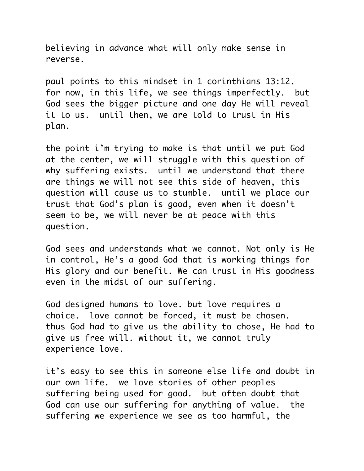believing in advance what will only make sense in reverse.

paul points to this mindset in 1 corinthians 13:12. for now, in this life, we see things imperfectly. but God sees the bigger picture and one day He will reveal it to us. until then, we are told to trust in His plan.

the point i'm trying to make is that until we put God at the center, we will struggle with this question of why suffering exists. until we understand that there are things we will not see this side of heaven, this question will cause us to stumble. until we place our trust that God's plan is good, even when it doesn't seem to be, we will never be at peace with this question.

God sees and understands what we cannot. Not only is He in control, He's a good God that is working things for His glory and our benefit. We can trust in His goodness even in the midst of our suffering.

God designed humans to love. but love requires a choice. love cannot be forced, it must be chosen. thus God had to give us the ability to chose, He had to give us free will. without it, we cannot truly experience love.

it's easy to see this in someone else life and doubt in our own life. we love stories of other peoples suffering being used for good. but often doubt that God can use our suffering for anything of value. the suffering we experience we see as too harmful, the